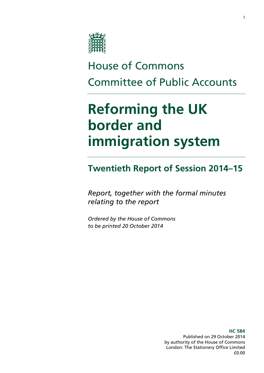

# House of Commons Committee of Public Accounts

# **Reforming the UK border and immigration system**

### **Twentieth Report of Session 2014–15**

*Report, together with the formal minutes relating to the report*

*Ordered by the House of Commons to be printed 20 October 2014*

> **HC 584** Published on 29 October 2014 by authority of the House of Commons London: The Stationery Office Limited £0.00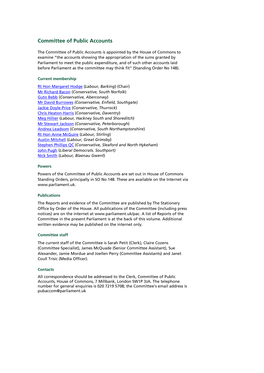#### **Committee of Public Accounts**

The Committee of Public Accounts is appointed by the House of Commons to examine "the accounts showing the appropriation of the sums granted by Parliament to meet the public expenditure, and of such other accounts laid before Parliament as the committee may think fit" (Standing Order No 148).

#### **Current membership**

[Rt Hon Margaret Hodge](http://www.parliament.uk/biographies/commons/margaret-hodge/140) (*Labour, Barking*) (Chair) [Mr Richard Bacon](http://www.parliament.uk/biographies/commons/mr-richard-bacon/1451) (*Conservative, South Norfolk*) [Guto Bebb](http://www.parliament.uk/biographies/commons/guto-bebb/3910) (*Conservative, Aberconwy*) [Mr David Burrowes](http://www.parliament.uk/biographies/commons/mr-david-burrowes/1518) *(Conservative, Enfield, Southgate)* [Jackie Doyle-Price](http://www.parliament.uk/biographies/commons/jackie-doyle-price/4065) (*Conservative, Thurrock*) [Chris Heaton-Harris](http://www.parliament.uk/biographies/commons/chris-heaton-harris/3977) (*Conservative, Daventry*) [Meg Hillier](http://www.parliament.uk/biographies/commons/meg-hillier/1524) (*Labour, Hackney South and Shoreditch*) [Mr Stewart Jackson](http://www.parliament.uk/biographies/commons/mr-stewart-jackson/1551) (*Conservative, Peterborough*) [Andrea Leadsom](http://www.parliament.uk/biographies/commons/andrea-leadsom/4117) (*Conservative, South Northamptonshire*) [Rt Hon Anne McGuire](http://www.parliament.uk/biographies/commons/mrs-anne-mcguire/636) (*Labour, Stirling*) [Austin Mitchell](http://www.parliament.uk/biographies/commons/austin-mitchell/372) (*Labour, Great Grimsby*) [Stephen Phillips QC](http://www.parliament.uk/biographies/commons/stephen-phillips/4054) (*Conservative, Sleaford and North Hykeham*) [John Pugh](http://www.parliament.uk/biographies/commons/john-pugh/1454) (*Liberal Democrats. Southport)*  [Nick Smith](http://www.parliament.uk/biographies/commons/nick-smith/3928) (*Labour, Blaenau Gwent*)

#### **Powers**

Powers of the Committee of Public Accounts are set out in House of Commons Standing Orders, principally in SO No 148. These are available on the Internet via www.parliament.uk.

#### **Publications**

The Reports and evidence of the Committee are published by The Stationery Office by Order of the House. All publications of the Committee (including press notices) are on the internet at www.parliament.uk/pac. A list of Reports of the Committee in the present Parliament is at the back of this volume. Additional written evidence may be published on the internet only.

#### **Committee staff**

The current staff of the Committee is Sarah Petit (Clerk), Claire Cozens (Committee Specialist), James McQuade (Senior Committee Assistant), Sue Alexander, Jamie Mordue and Joellen Perry (Committee Assistants) and Janet Coull Trisic (Media Officer).

#### **Contacts**

All correspondence should be addressed to the Clerk, Committee of Public Accounts, House of Commons, 7 Millbank, London SW1P 3JA. The telephone number for general enquiries is 020 7219 5708; the Committee's email address is pubaccom@parliament.uk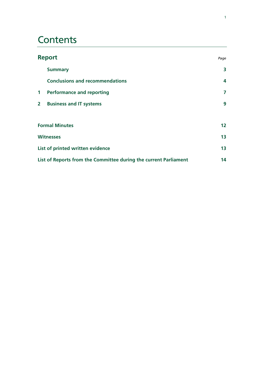### **Contents**

| <b>Report</b>                    |                                                                  | Page            |
|----------------------------------|------------------------------------------------------------------|-----------------|
|                                  | <b>Summary</b>                                                   | 3               |
|                                  | <b>Conclusions and recommendations</b>                           | 4               |
| $\mathbf{1}$                     | <b>Performance and reporting</b>                                 | 7               |
| $\overline{2}$                   | <b>Business and IT systems</b>                                   | 9               |
| <b>Formal Minutes</b>            |                                                                  | 12 <sup>°</sup> |
| <b>Witnesses</b>                 |                                                                  | 13              |
| List of printed written evidence |                                                                  | 13              |
|                                  | List of Reports from the Committee during the current Parliament | 14              |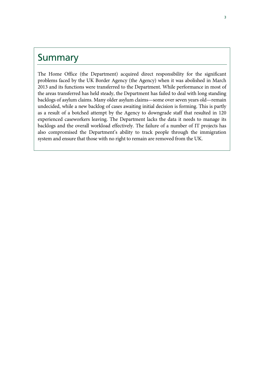### Summary

The Home Office (the Department) acquired direct responsibility for the significant problems faced by the UK Border Agency (the Agency) when it was abolished in March 2013 and its functions were transferred to the Department. While performance in most of the areas transferred has held steady, the Department has failed to deal with long standing backlogs of asylum claims. Many older asylum claims—some over seven years old—remain undecided, while a new backlog of cases awaiting initial decision is forming. This is partly as a result of a botched attempt by the Agency to downgrade staff that resulted in 120 experienced caseworkers leaving. The Department lacks the data it needs to manage its backlogs and the overall workload effectively. The failure of a number of IT projects has also compromised the Department's ability to track people through the immigration system and ensure that those with no right to remain are removed from the UK.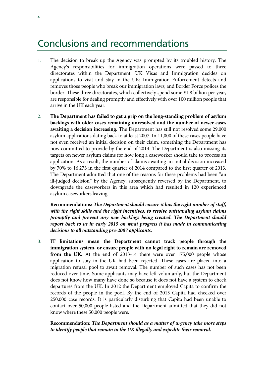### Conclusions and recommendations

- 1. The decision to break up the Agency was prompted by its troubled history. The Agency's responsibilities for immigration operations were passed to three directorates within the Department: UK Visas and Immigration decides on applications to visit and stay in the UK; Immigration Enforcement detects and removes those people who break our immigration laws; and Border Force polices the border. These three directorates, which collectively spend some £1.8 billion per year, are responsible for dealing promptly and effectively with over 100 million people that arrive in the UK each year.
- 2. **The Department has failed to get a grip on the long-standing problem of asylum backlogs with older cases remaining unresolved and the number of newer cases awaiting a decision increasing.** The Department has still not resolved some 29,000 asylum applications dating back to at least 2007. In 11,000 of these cases people have not even received an initial decision on their claim, something the Department has now committed to provide by the end of 2014. The Department is also missing its targets on newer asylum claims for how long a caseworker should take to process an application. As a result, the number of claims awaiting an initial decision increased by 70% to 16,273 in the first quarter of 2014 compared to the first quarter of 2013. The Department admitted that one of the reasons for these problems had been "an ill-judged decision" by the Agency, subsequently reversed by the Department, to downgrade the caseworkers in this area which had resulted in 120 experienced asylum caseworkers leaving.

**Recommendations:** *The Department should ensure it has the right number of staff, with the right skills and the right incentives, to resolve outstanding asylum claims promptly and prevent any new backlogs being created. The Department should report back to us in early 2015 on what progress it has made in communicating decisions to all outstanding pre-2007 applicants.* 

3. **IT limitations mean the Department cannot track people through the immigration system, or ensure people with no legal right to remain are removed from the UK.** At the end of 2013-14 there were over 175,000 people whose application to stay in the UK had been rejected. These cases are placed into a migration refusal pool to await removal. The number of such cases has not been reduced over time. Some applicants may have left voluntarily, but the Department does not know how many have done so because it does not have a system to check departures from the UK. In 2012 the Department employed Capita to confirm the records of the people in the pool. By the end of 2013 Capita had checked over 250,000 case records. It is particularly disturbing that Capita had been unable to contact over 50,000 people listed and the Department admitted that they did not know where these 50,000 people were.

**Recommendation:** *The Department should as a matter of urgency take more steps to identify people that remain in the UK illegally and expedite their removal.*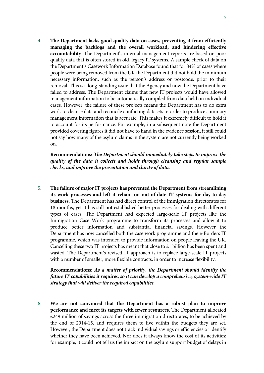4. **The Department lacks good quality data on cases, preventing it from efficiently managing the backlogs and the overall workload, and hindering effective accountability**. The Department's internal management reports are based on poor quality data that is often stored in old, legacy IT systems. A sample check of data on the Department's Casework Information Database found that for 84% of cases where people were being removed from the UK the Department did not hold the minimum necessary information, such as the person's address or postcode, prior to their removal. This is a long-standing issue that the Agency and now the Department have failed to address. The Department claims that new IT projects would have allowed management information to be automatically compiled from data held on individual cases. However, the failure of these projects means the Department has to do extra work to cleanse data and reconcile conflicting datasets in order to produce summary management information that is accurate. This makes it extremely difficult to hold it to account for its performance. For example, in a subsequent note the Department provided covering figures it did not have to hand in the evidence session, it still could not say how many of the asylum claims in the system are not currently being worked on.

**Recommendations:** *The Department should immediately take steps to improve the quality of the data it collects and holds through cleansing and regular sample checks, and improve the presentation and clarity of data.*

5. **The failure of major IT projects has prevented the Department from streamlining its work processes and left it reliant on out-of-date IT systems for day-to-day business.** The Department has had direct control of the immigration directorates for 18 months, yet it has still not established better processes for dealing with different types of cases. The Department had expected large-scale IT projects like the Immigration Case Work programme to transform its processes and allow it to produce better information and substantial financial savings. However the Department has now cancelled both the case work programme and the e-Borders IT programme, which was intended to provide information on people leaving the UK. Cancelling these two IT projects has meant that close to £1 billion has been spent and wasted. The Department's revised IT approach is to replace large-scale IT projects with a number of smaller, more flexible contracts, in order to increase flexibility.

**Recommendations:** *As a matter of priority, the Department should identify the future IT capabilities it requires, so it can develop a comprehensive, system-wide IT strategy that will deliver the required capabilities.*

6. **We are not convinced that the Department has a robust plan to improve performance and meet its targets with fewer resources.** The Department allocated £249 million of savings across the three immigration directorates, to be achieved by the end of 2014-15, and requires them to live within the budgets they are set. However, the Department does not track individual savings or efficiencies or identify whether they have been achieved. Nor does it always know the cost of its activities: for example, it could not tell us the impact on the asylum support budget of delays in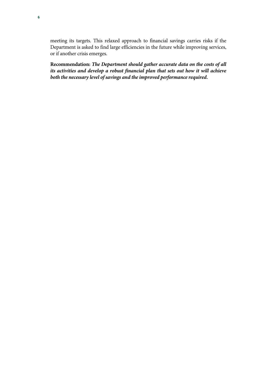meeting its targets. This relaxed approach to financial savings carries risks if the Department is asked to find large efficiencies in the future while improving services, or if another crisis emerges.

**Recommendation:** *The Department should gather accurate data on the costs of all its activities and develop a robust financial plan that sets out how it will achieve both the necessary level of savings and the improved performance required.*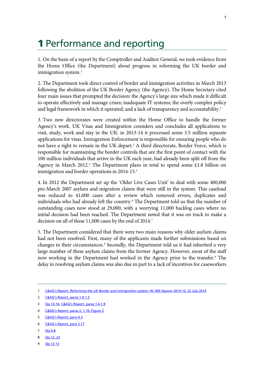## 1 Performance and reporting

1. On the basis of a report by the Comptroller and Auditor General, we took evidence from the Home Office (the Department) about progress in reforming the UK border and immigration system.<sup>[1](#page-7-0)</sup>

2. The Department took direct control of border and immigration activities in March 2013 following the abolition of the UK Border Agency (the Agency). The Home Secretary cited four main issues that prompted the decision: the Agency's large size which made it difficult to operate effectively and manage crises; inadequate IT systems; the overly complex policy and legal framework in which it operated; and a lack of transparency and accountability.<sup>[2](#page-7-1)</sup>

3. Two new directorates were created within the Home Office to handle the former Agency's work. UK Visas and Immigration considers and concludes all applications to visit, study, work and stay in the UK: in 2013-14 it processed some 3.5 million separate applications for visas. Immigration Enforcement is responsible for ensuring people who do not have a right to remain in the UK depart.<sup>[3](#page-7-2)</sup> A third directorate, Border Force, which is responsible for maintaining the border controls that are the first point of contact with the 100 million individuals that arrive in the UK each year, had already been split off from the Agency in March 2012.<sup>[4](#page-7-3)</sup> The Department plans in total to spend some £1.8 billion on immigration and border operations in 2014-1[5](#page-7-4).<sup>5</sup>

4. In 2012 the Department set up the 'Older Live Cases Unit' to deal with some 400,000 pre-March 2007 asylum and migration claims that were still in the system. This caseload was reduced to 41,000 cases after a review which removed errors, duplicates and individuals who had already left the country.<sup>[6](#page-7-5)</sup> The Department told us that the number of outstanding cases now stood at 29,000, with a worrying 11,000 backlog cases where no initial decision had been reached. The Department noted that it was on track to make a decision on all of these 11,000 cases by the end of 2014.<sup>7</sup>

5. The Department considered that there were two main reasons why older asylum claims had not been resolved. First, many of the applicants made further submissions based on changes in their circumstances.<sup>[8](#page-7-7)</sup> Secondly, the Department told us it had inherited a very large number of these asylum claims from the former Agency. However, most of the staff now working in the Department had worked in the Agency prior to the transfer.<sup>[9](#page-7-8)</sup> The delay in resolving asylum claims was also due in part to a lack of incentives for caseworkers

- <span id="page-7-7"></span>8 [Qq 12, 23](http://data.parliament.uk/writtenevidence/committeeevidence.svc/evidencedocument/public-accounts-committee/progress-in-reforming-the-former-uk-border-agency/oral/12278.html)
- <span id="page-7-8"></span>9 [Qq 12-13](http://data.parliament.uk/writtenevidence/committeeevidence.svc/evidencedocument/public-accounts-committee/progress-in-reforming-the-former-uk-border-agency/oral/12278.html)

<span id="page-7-0"></span><sup>1</sup> C&AG's Report, *[Reforming the UK Border and immigration system](http://www.nao.org.uk/wp-content/uploads/2014/07/Reforming-the-UK-border-and-immigration-system.pdf)*, HC 445 Session 2014-15, 22 July 2014

<span id="page-7-1"></span><sup>2</sup> [C&AG's Report, paras 1.4-1.5](http://www.nao.org.uk/wp-content/uploads/2014/07/Reforming-the-UK-border-and-immigration-system.pdf)

<span id="page-7-2"></span><sup>3</sup> [Qq 13-16,](http://data.parliament.uk/writtenevidence/committeeevidence.svc/evidencedocument/public-accounts-committee/progress-in-reforming-the-former-uk-border-agency/oral/12278.html) [C&AG's Report, paras 1.4-1.9](http://www.nao.org.uk/wp-content/uploads/2014/07/Reforming-the-UK-border-and-immigration-system.pdf)

<span id="page-7-3"></span><sup>4</sup> [C&AG's Report, paras 2, 1.10, Figure 2](http://www.nao.org.uk/wp-content/uploads/2014/07/Reforming-the-UK-border-and-immigration-system.pdf)

<span id="page-7-4"></span><sup>5</sup> [C&AG's Report, para 4.3](http://www.nao.org.uk/wp-content/uploads/2014/07/Reforming-the-UK-border-and-immigration-system.pdf)

<span id="page-7-5"></span><sup>6</sup> [C&AG's Report, para 2.17](http://www.nao.org.uk/wp-content/uploads/2014/07/Reforming-the-UK-border-and-immigration-system.pdf)

<span id="page-7-6"></span><sup>7</sup> [Qq 6-8](http://data.parliament.uk/writtenevidence/committeeevidence.svc/evidencedocument/public-accounts-committee/progress-in-reforming-the-former-uk-border-agency/oral/12278.html)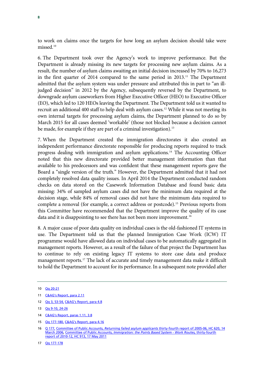to work on claims once the targets for how long an asylum decision should take were missed.[10](#page-8-0)

6. The Department took over the Agency's work to improve performance. But the Department is already missing its new targets for processing new asylum claims. As a result, the number of asylum claims awaiting an initial decision increased by 70% to 16,273 in the first quarter of 2014 compared to the same period in 2013.<sup>[11](#page-8-1)</sup> The Department admitted that the asylum system was under pressure and attributed this in part to "an illjudged decision" in 2012 by the Agency, subsequently reversed by the Department, to downgrade asylum caseworkers from Higher Executive Officer (HEO) to Executive Officer (EO), which led to 120 HEOs leaving the Department. The Department told us it wanted to recruit an additional 400 staff to help deal with asylum cases.<sup>[12](#page-8-2)</sup> While it was not meeting its own internal targets for processing asylum claims, the Department planned to do so by March 2015 for all cases deemed 'workable' (those not blocked because a decision cannot be made, for example if they are part of a criminal investigation).<sup>[13](#page-8-3)</sup>

7. When the Department created the immigration directorates it also created an independent performance directorate responsible for producing reports required to track progress dealing with immigration and asylum applications.[14](#page-8-4) The Accounting Officer noted that this new directorate provided better management information than that available to his predecessors and was confident that these management reports gave the Board a "single version of the truth." However, the Department admitted that it had not completely resolved data quality issues. In April 2014 the Department conducted random checks on data stored on the Casework Information Database and found basic data missing: 34% of sampled asylum cases did not have the minimum data required at the decision stage, while 84% of removal cases did not have the minimum data required to complete a removal (for example, a correct address or postcode).[15](#page-8-5) Previous reports from this Committee have recommended that the Department improve the quality of its case data and it is disappointing to see there has not been more improvement.<sup>[16](#page-8-6)</sup>

8. A major cause of poor data quality on individual cases is the old-fashioned IT systems in use. The Department told us that the planned Immigration Case Work (ICW) IT programme would have allowed data on individual cases to be automatically aggregated in management reports. However, as a result of the failure of that project the Department has to continue to rely on existing legacy IT systems to store case data and produce management reports.<sup>[17](#page-8-7)</sup> The lack of accurate and timely management data make it difficult to hold the Department to account for its performance. In a subsequent note provided after

<span id="page-8-2"></span>12 [Qq 3, 53-54,](http://data.parliament.uk/writtenevidence/committeeevidence.svc/evidencedocument/public-accounts-committee/progress-in-reforming-the-former-uk-border-agency/oral/12278.html) [C&AG's Report, para 4.8](http://www.nao.org.uk/wp-content/uploads/2014/07/Reforming-the-UK-border-and-immigration-system.pdf)

- <span id="page-8-4"></span>14 [C&AG's Report, paras 1.11, 3.8](http://www.nao.org.uk/wp-content/uploads/2014/07/Reforming-the-UK-border-and-immigration-system.pdf)
- <span id="page-8-5"></span>15 [Qq 177-180,](http://data.parliament.uk/writtenevidence/committeeevidence.svc/evidencedocument/public-accounts-committee/progress-in-reforming-the-former-uk-border-agency/oral/12278.html) [C&AG's Report, para 4.16](http://www.nao.org.uk/wp-content/uploads/2014/07/Reforming-the-UK-border-and-immigration-system.pdf)

<span id="page-8-0"></span><sup>10</sup> [Qq 20-21](http://data.parliament.uk/writtenevidence/committeeevidence.svc/evidencedocument/public-accounts-committee/progress-in-reforming-the-former-uk-border-agency/oral/12278.html)

<span id="page-8-1"></span><sup>11</sup> [C&AG's Report, para 2.11](http://www.nao.org.uk/wp-content/uploads/2014/07/Reforming-the-UK-border-and-immigration-system.pdf)

<span id="page-8-3"></span><sup>13</sup> [Qq 9-10, 24-26](http://data.parliament.uk/writtenevidence/committeeevidence.svc/evidencedocument/public-accounts-committee/progress-in-reforming-the-former-uk-border-agency/oral/12278.html)

<span id="page-8-7"></span><span id="page-8-6"></span><sup>16</sup> [Q 177,](http://data.parliament.uk/writtenevidence/committeeevidence.svc/evidencedocument/public-accounts-committee/progress-in-reforming-the-former-uk-border-agency/oral/12278.html) Committee of Public Accounts, *Returning failed asylum applicants* [thirty-fourth report of 2005-06, HC 620, 14](http://www.publications.parliament.uk/pa/cm200506/cmselect/cmpubacc/620/62002.htm)  [March 2006,](http://www.publications.parliament.uk/pa/cm200506/cmselect/cmpubacc/620/62002.htm) Committee of Public Accounts, *[Immigration: the Points Based System -](http://www.publications.parliament.uk/pa/cm201012/cmselect/cmpubacc/913/913.pdf) Work Routes,* thirty-fourth [report of 2010-12, HC 913, 17 May 2011](http://www.publications.parliament.uk/pa/cm201012/cmselect/cmpubacc/913/913.pdf)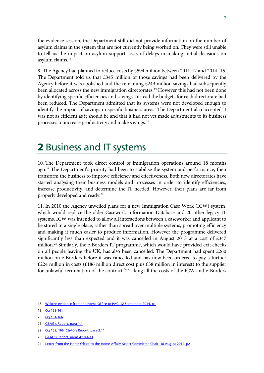the evidence session, the Department still did not provide information on the number of asylum claims in the system that are not currently being worked on. They were still unable to tell us the impact on asylum support costs of delays in making initial decisions on asylum claims.<sup>[18](#page-9-0)</sup>

9. The Agency had planned to reduce costs by £594 million between 2011-12 and 2014 -15. The Department told us that  $£345$  million of those savings had been delivered by the Agency before it was abolished and the remaining £249 million savings had subsequently been allocated across the new immigration directorates.<sup>[19](#page-9-1)</sup> However this had not been done by identifying specific efficiencies and savings. Instead the budgets for each directorate had been reduced. The Department admitted that its systems were not developed enough to identify the impact of savings in specific business areas. The Department also accepted it was not as efficient as it should be and that it had not yet made adjustments to its business processes to increase productivity and make savings.[20](#page-9-2)

### 2 Business and IT systems

10. The Department took direct control of immigration operations around 18 months ago.<sup>[21](#page-9-3)</sup> The Department's priority had been to stabilise the system and performance, then transform the business to improve efficiency and effectiveness. Both new directorates have started analysing their business models and processes in order to identify efficiencies, increase productivity, and determine the IT needed. However, their plans are far from properly developed and ready.<sup>[22](#page-9-4)</sup>

11. In 2010 the Agency unveiled plans for a new Immigration Case Work (ICW) system, which would replace the older Casework Information Database and 20 other legacy IT systems. ICW was intended to allow all interactions between a caseworker and applicant to be stored in a single place, rather than spread over multiple systems, promoting efficiency and making it much easier to produce information. However the programme delivered significantly less than expected and it was cancelled in August 2013 at a cost of £347 million. [23](#page-9-5) Similarly, the e-Borders IT programme, which would have provided exit checks on all people leaving the UK, has also been cancelled. The Department had spent  $£260$ million on e-Borders before it was cancelled and has now been ordered to pay a further  $£224$  million in costs (£186 million direct cost plus £38 million in interest) to the supplier for unlawful termination of the contract.<sup>[24](#page-9-6)</sup> Taking all the costs of the ICW and e-Borders

<span id="page-9-0"></span><sup>18</sup> Written evidence from [the Home Office to PAC, 12 September 2014, p1](http://data.parliament.uk/writtenevidence/committeeevidence.svc/evidencedocument/public-accounts-committee/progress-in-reforming-the-former-uk-border-agency/written/14094.html)

<span id="page-9-1"></span><sup>19</sup> [Qq 158-161](http://data.parliament.uk/writtenevidence/committeeevidence.svc/evidencedocument/public-accounts-committee/progress-in-reforming-the-former-uk-border-agency/oral/12278.html)

<span id="page-9-2"></span><sup>20</sup> [Qq 161-166](http://data.parliament.uk/writtenevidence/committeeevidence.svc/evidencedocument/public-accounts-committee/progress-in-reforming-the-former-uk-border-agency/oral/12278.html)

<span id="page-9-3"></span><sup>21</sup> [C&AG's Report, para 1.4](http://www.nao.org.uk/wp-content/uploads/2014/07/Reforming-the-UK-border-and-immigration-system.pdf)

<span id="page-9-4"></span><sup>22</sup> **[Qq 162, 166,](http://data.parliament.uk/writtenevidence/committeeevidence.svc/evidencedocument/public-accounts-committee/progress-in-reforming-the-former-uk-border-agency/oral/12278.html) [C&AG's Report, para 3.11](http://www.nao.org.uk/wp-content/uploads/2014/07/Reforming-the-UK-border-and-immigration-system.pdf)** 

<span id="page-9-5"></span><sup>23</sup> [C&AG's Report, paras 4.10-4.11](http://www.nao.org.uk/wp-content/uploads/2014/07/Reforming-the-UK-border-and-immigration-system.pdf)

<span id="page-9-6"></span><sup>24</sup> [Letter from the Home Office to the Home Affairs Select Committee Chair, 18 August 2014, p2](https://www.gov.uk/government/news/home-secretary-letter-on-the-e-borders-programme-arbitration)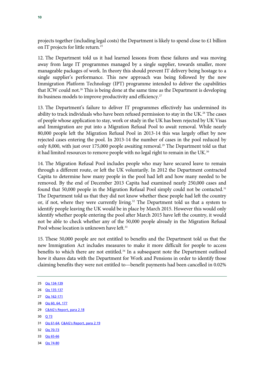projects together (including legal costs) the Department is likely to spend close to £1 billion on IT projects for little return.<sup>[25](#page-10-0)</sup>

12. The Department told us it had learned lessons from these failures and was moving away from large IT programmes managed by a single supplier, towards smaller, more manageable packages of work. In theory this should prevent IT delivery being hostage to a single supplier's performance. This new approach was being followed by the new Immigration Platform Technology (IPT) programme intended to deliver the capabilities that ICW could not.<sup>[26](#page-10-1)</sup> This is being done at the same time as the Department is developing its business models to improve productivity and efficiency.<sup>[27](#page-10-2)</sup>

13. The Department's failure to deliver IT programmes effectively has undermined its ability to track individuals who have been refused permission to stay in the UK. [28](#page-10-3) The cases of people whose application to stay, work or study in the UK has been rejected by UK Visas and Immigration are put into a Migration Refusal Pool to await removal. While nearly 80,000 people left the Migration Refusal Pool in 2013-14 this was largely offset by new rejected cases entering the pool. In 2013-14 the number of cases in the pool reduced by only 8,000, with just over 175,000 people awaiting removal.<sup>[29](#page-10-4)</sup> The Department told us that it had limited resources to remove people with no legal right to remain in the UK. $^{\rm 30}$  $^{\rm 30}$  $^{\rm 30}$ 

14. The Migration Refusal Pool includes people who may have secured leave to remain through a different route, or left the UK voluntarily. In 2012 the Department contracted Capita to determine how many people in the pool had left and how many needed to be removed. By the end of December 2013 Capita had examined nearly 250,000 cases and found that 50,000 people in the Migration Refusal Pool simply could not be contacted.<sup>[31](#page-10-6)</sup> The Department told us that they did not know whether these people had left the country or, if not, where they were currently living.<sup>[32](#page-10-7)</sup> The Department told us that a system to identify people leaving the UK would be in place by March 2015. However this would only identify whether people entering the pool after March 2015 have left the country, it would not be able to check whether any of the 50,000 people already in the Migration Refusal Pool whose location is unknown have left.<sup>33</sup>

15. These 50,000 people are not entitled to benefits and the Department told us that the new Immigration Act includes measures to make it more difficult for people to access benefits to which there are not entitled. [34](#page-10-9) In a subsequent note the Department outlined how it shares data with the Department for Work and Pensions in order to identify those claiming benefits they were not entitled to—benefit payments had been cancelled in 0.02%

<span id="page-10-0"></span>25 [Qq 134-139](http://data.parliament.uk/writtenevidence/committeeevidence.svc/evidencedocument/public-accounts-committee/progress-in-reforming-the-former-uk-border-agency/oral/12278.html) 26 [Qq 135-137](http://data.parliament.uk/writtenevidence/committeeevidence.svc/evidencedocument/public-accounts-committee/progress-in-reforming-the-former-uk-border-agency/oral/12278.html)

- <span id="page-10-2"></span><span id="page-10-1"></span>27 [Qq 162-171](http://data.parliament.uk/writtenevidence/committeeevidence.svc/evidencedocument/public-accounts-committee/progress-in-reforming-the-former-uk-border-agency/oral/12278.html)
- <span id="page-10-3"></span>28 [Qq 60, 64, 177](http://data.parliament.uk/writtenevidence/committeeevidence.svc/evidencedocument/public-accounts-committee/progress-in-reforming-the-former-uk-border-agency/oral/12278.html)
- <span id="page-10-4"></span>29 [C&AG's Report, para 2.18](http://www.nao.org.uk/wp-content/uploads/2014/07/Reforming-the-UK-border-and-immigration-system.pdf)
- <span id="page-10-5"></span>30 [Q 73](http://data.parliament.uk/writtenevidence/committeeevidence.svc/evidencedocument/public-accounts-committee/progress-in-reforming-the-former-uk-border-agency/oral/12278.html)
- <span id="page-10-6"></span>31 [Qq 61-64,](http://data.parliament.uk/writtenevidence/committeeevidence.svc/evidencedocument/public-accounts-committee/progress-in-reforming-the-former-uk-border-agency/oral/12278.html) [C&AG's Report, para 2.19](http://www.nao.org.uk/wp-content/uploads/2014/07/Reforming-the-UK-border-and-immigration-system.pdf)
- <span id="page-10-7"></span>32 [Qq 70-73](http://data.parliament.uk/writtenevidence/committeeevidence.svc/evidencedocument/public-accounts-committee/progress-in-reforming-the-former-uk-border-agency/oral/12278.html)
- <span id="page-10-8"></span>33 [Qq 65-66](http://data.parliament.uk/writtenevidence/committeeevidence.svc/evidencedocument/public-accounts-committee/progress-in-reforming-the-former-uk-border-agency/oral/12278.html)
- <span id="page-10-9"></span>34 [Qq 74-80](http://data.parliament.uk/writtenevidence/committeeevidence.svc/evidencedocument/public-accounts-committee/progress-in-reforming-the-former-uk-border-agency/oral/12278.html)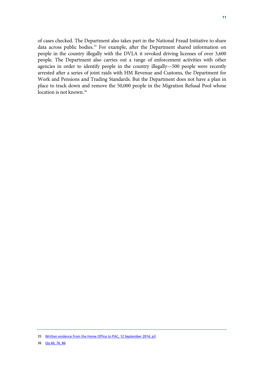of cases checked. The Department also takes part in the National Fraud Initiative to share data across public bodies.<sup>[35](#page-11-0)</sup> For example, after the Department shared information on people in the country illegally with the DVLA it revoked driving licenses of over 3,600 people. The Department also carries out a range of enforcement activities with other agencies in order to identify people in the country illegally—500 people were recently arrested after a series of joint raids with HM Revenue and Customs, the Department for Work and Pensions and Trading Standards. But the Department does not have a plan in place to track down and remove the 50,000 people in the Migration Refusal Pool whose location is not known.<sup>[36](#page-11-1)</sup>

<span id="page-11-1"></span><span id="page-11-0"></span><sup>35</sup> Written evidence from [the Home Office to PAC, 12 September 2014, p3](http://data.parliament.uk/writtenevidence/committeeevidence.svc/evidencedocument/public-accounts-committee/progress-in-reforming-the-former-uk-border-agency/written/14094.html)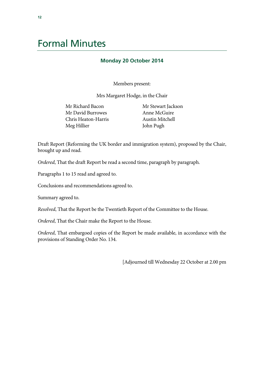### Formal Minutes

#### **Monday 20 October 2014**

Members present:

Mrs Margaret Hodge, in the Chair

Mr Richard Bacon Mr David Burrowes Chris Heaton-Harris Meg Hillier

Mr Stewart Jackson Anne McGuire Austin Mitchell John Pugh

Draft Report (Reforming the UK border and immigration system), proposed by the Chair, brought up and read.

*Ordered*, That the draft Report be read a second time, paragraph by paragraph.

Paragraphs 1 to 15 read and agreed to.

Conclusions and recommendations agreed to.

Summary agreed to.

*Resolved*, That the Report be the Twentieth Report of the Committee to the House.

*Ordered*, That the Chair make the Report to the House.

*Ordered*, That embargoed copies of the Report be made available, in accordance with the provisions of Standing Order No. 134.

[Adjourned till Wednesday 22 October at 2.00 pm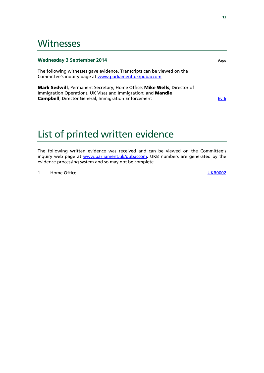### **Witnesses**

#### **Wednesday 3 September 2014** *Page*

The following witnesses gave evidence. Transcripts can be viewed on the Committee's inquiry page at [www.parliament.uk/pubaccom.](http://www.parliament.uk/pubaccom)

Mark Sedwill, Permanent Secretary, Home Office; Mike Wells, Director of Immigration Operations, UK Visas and Immigration; and Mandie **Campbell**, Director General, Immigration Enforcement **Execution Execution** [Ev 6](http://data.parliament.uk/writtenevidence/committeeevidence.svc/evidencedocument/public-accounts-committee/progress-in-reforming-the-former-uk-border-agency/oral/12278.html)

### List of printed written evidence

The following written evidence was received and can be viewed on the Committee's inquiry web page at [www.parliament.uk/pubaccom.](http://www.parliament.uk/pubaccom) UKB numbers are generated by the evidence processing system and so may not be complete.

1 Home Office **No. 2018 [UKB0002](http://data.parliament.uk/writtenevidence/committeeevidence.svc/evidencedocument/public-accounts-committee/progress-in-reforming-the-former-uk-border-agency/written/14094.html)**